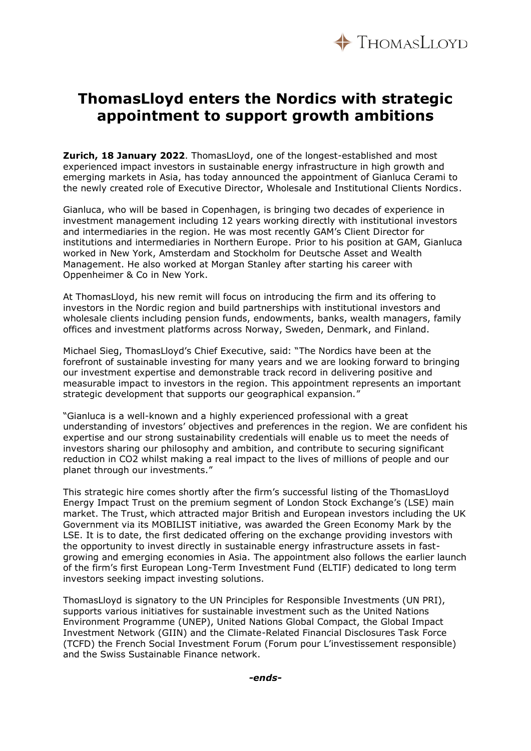

## **ThomasLloyd enters the Nordics with strategic appointment to support growth ambitions**

**Zurich, 18 January 2022**. ThomasLloyd, one of the longest-established and most experienced impact investors in sustainable energy infrastructure in high growth and emerging markets in Asia, has today announced the appointment of Gianluca Cerami to the newly created role of Executive Director, Wholesale and Institutional Clients Nordics.

Gianluca, who will be based in Copenhagen, is bringing two decades of experience in investment management including 12 years working directly with institutional investors and intermediaries in the region. He was most recently GAM's Client Director for institutions and intermediaries in Northern Europe. Prior to his position at GAM, Gianluca worked in New York, Amsterdam and Stockholm for Deutsche Asset and Wealth Management. He also worked at Morgan Stanley after starting his career with Oppenheimer & Co in New York.

At ThomasLloyd, his new remit will focus on introducing the firm and its offering to investors in the Nordic region and build partnerships with institutional investors and wholesale clients including pension funds, endowments, banks, wealth managers, family offices and investment platforms across Norway, Sweden, Denmark, and Finland.

Michael Sieg, ThomasLloyd's Chief Executive, said: "The Nordics have been at the forefront of sustainable investing for many years and we are looking forward to bringing our investment expertise and demonstrable track record in delivering positive and measurable impact to investors in the region. This appointment represents an important strategic development that supports our geographical expansion."

"Gianluca is a well-known and a highly experienced professional with a great understanding of investors' objectives and preferences in the region. We are confident his expertise and our strong sustainability credentials will enable us to meet the needs of investors sharing our philosophy and ambition, and contribute to securing significant reduction in CO2 whilst making a real impact to the lives of millions of people and our planet through our investments."

This strategic hire comes shortly after the firm's successful listing of the ThomasLloyd Energy Impact Trust on the premium segment of London Stock Exchange's (LSE) main market. The Trust, which attracted major British and European investors including the UK Government via its MOBILIST initiative, was awarded the Green Economy Mark by the LSE. It is to date, the first dedicated offering on the exchange providing investors with the opportunity to invest directly in sustainable energy infrastructure assets in fastgrowing and emerging economies in Asia. The appointment also follows the earlier launch of the firm's first European Long-Term Investment Fund (ELTIF) dedicated to long term investors seeking impact investing solutions.

ThomasLloyd is signatory to the UN Principles for Responsible Investments (UN PRI), supports various initiatives for sustainable investment such as the United Nations Environment Programme (UNEP), United Nations Global Compact, the Global Impact Investment Network (GIIN) and the Climate-Related Financial Disclosures Task Force (TCFD) the French Social Investment Forum (Forum pour L'investissement responsible) and the Swiss Sustainable Finance network.